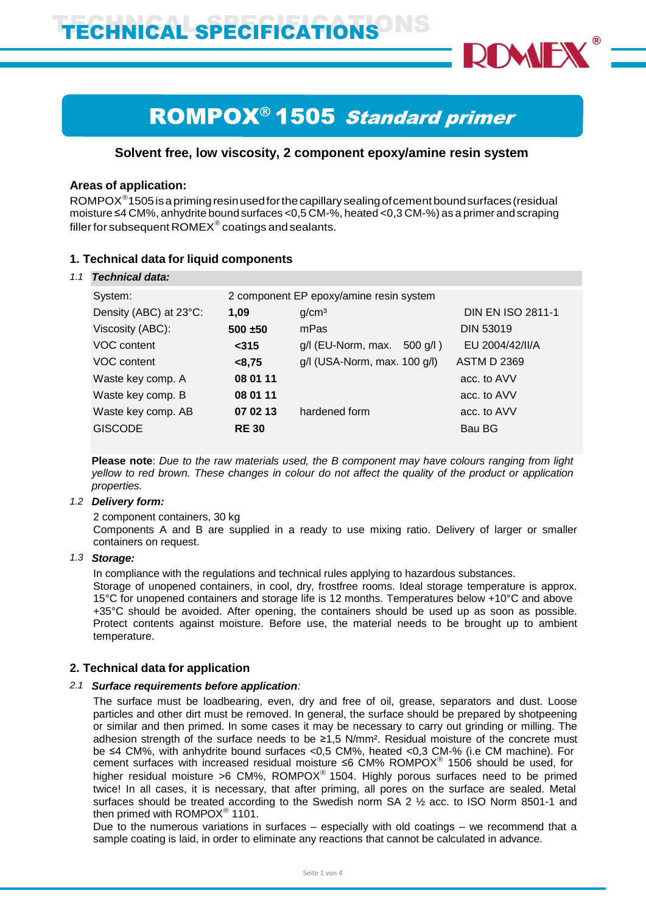

# **ROMPOX<sup>®</sup> 1505 Standard primer**

# **Solvent free, low viscosity, 2 component epoxy/amine resin system**

# **Areas of application:**

 $\mathsf{ROMPOX}^\circ$ 1505 is a priming resin used for the capillary sealing of cement bound surfaces (residual moisture ≤4 CM%, anhydrite bound surfaces <0,5 CM-%, heated <0,3 CM-%) as a primer and scraping filler for subsequent ROMEX $^\circ$  coatings and sealants.

# **1. Technical data for liquid components**

| 1.1 | Technical data:        |             |                                         |                          |
|-----|------------------------|-------------|-----------------------------------------|--------------------------|
|     | System:                |             | 2 component EP epoxy/amine resin system |                          |
|     | Density (ABC) at 23°C: | 1,09        | g/cm <sup>3</sup>                       | <b>DIN EN ISO 2811-1</b> |
|     | Viscosity (ABC):       | $500 + 50$  | mPas                                    | <b>DIN 53019</b>         |
|     | VOC content            | $315$       | g/l (EU-Norm, max.<br>$500$ g/l)        | EU 2004/42/II/A          |
|     | VOC content            | < 8,75      | g/l (USA-Norm, max. 100 g/l)            | <b>ASTM D 2369</b>       |
|     | Waste key comp. A      | 08 01 11    |                                         | acc. to AVV              |
|     | Waste key comp. B      | 08 01 11    |                                         | acc. to AVV              |
|     | Waste key comp. AB     | 07 02 13    | hardened form                           | acc. to AVV              |
|     | <b>GISCODE</b>         | <b>RE30</b> |                                         | Bau BG                   |
|     |                        |             |                                         |                          |

**Please note**: *Due to the raw materials used, the B component may have colours ranging from light* yellow to red brown. These changes in colour do not affect the quality of the product or application *properties.*

# *1.2 Delivery form:*

2 component containers, 30 kg

Components A and B are supplied in a ready to use mixing ratio. Delivery of larger or smaller containers on request.

# *1.3 Storage:*

In compliance with the regulations and technical rules applying to hazardous substances.

Storage of unopened containers, in cool, dry, frostfree rooms. Ideal storage temperature is approx. 15°C for unopened containers and storage life is 12 months. Temperatures below +10°C and above +35°C should be avoided. After opening, the containers should be used up as soon as possible. Protect contents against moisture. Before use, the material needs to be brought up to ambient temperature.

# **2. Technical data for application**

# *2.1 Surface requirements before application:*

The surface must be loadbearing, even, dry and free of oil, grease, separators and dust. Loose particles and other dirt must be removed. In general, the surface should be prepared by shotpeening or similar and then primed. In some cases it may be necessary to carry out grinding or milling. The adhesion strength of the surface needs to be ≥1,5 N/mm². Residual moisture of the concrete must be ≤4 CM%, with anhydrite bound surfaces <0,5 CM%, heated <0,3 CM-% (i.e CM machine). For cement surfaces with increased residual moisture ≤6 CM% ROMPOX 1506 should be used, for higher residual moisture >6 CM%, ROMPOX<sup>®</sup> 1504. Highly porous surfaces need to be primed twice! In all cases, it is necessary, that after priming, all pores on the surface are sealed. Metal surfaces should be treated according to the Swedish norm SA 2 ½ acc. to ISO Norm 8501-1 and then primed with  $\mathsf{ROMPOX}^\circledast$  1101.

Due to the numerous variations in surfaces – especially with old coatings – we recommend that a sample coating is laid, in order to eliminate any reactions that cannot be calculated in advance.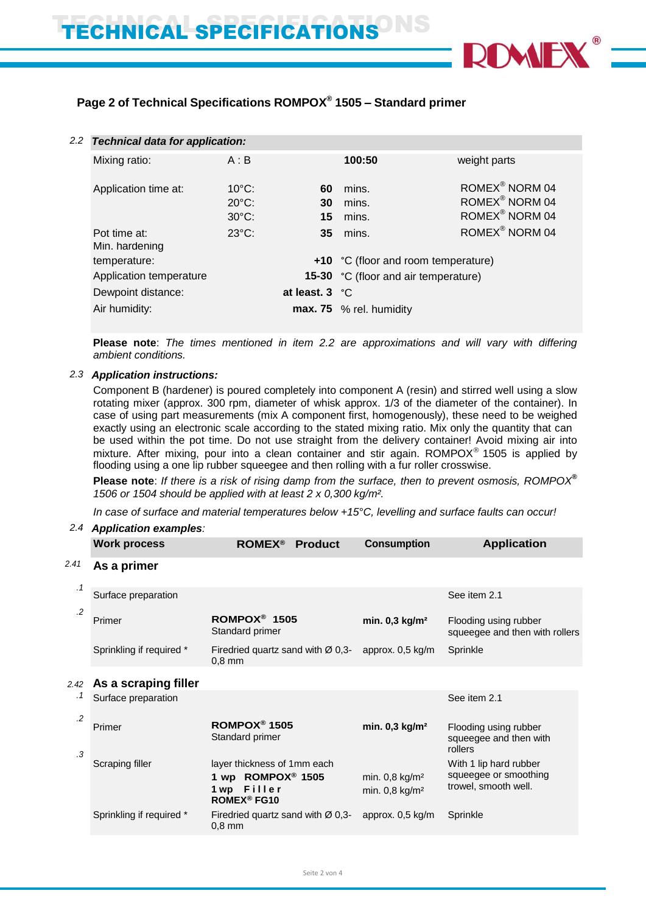

# **Page 2 of Technical Specifications ROMPOX® 1505 – Standard primer**

| 2.2 | <b>Technical data for application:</b> |                 |                         |                                      |                            |
|-----|----------------------------------------|-----------------|-------------------------|--------------------------------------|----------------------------|
|     | Mixing ratio:                          | A : B           |                         | 100:50                               | weight parts               |
|     | Application time at:                   | $10^{\circ}$ C: | 60                      | mins.                                | ROMEX <sup>®</sup> NORM 04 |
|     |                                        | $20^{\circ}$ C: | 30                      | mins.                                | ROMEX <sup>®</sup> NORM 04 |
|     |                                        | $30^{\circ}$ C: | 15                      | mins.                                | ROMEX <sup>®</sup> NORM 04 |
|     | Pot time at:                           | $23^{\circ}$ C: | 35                      | mins.                                | ROMEX <sup>®</sup> NORM 04 |
|     | Min. hardening                         |                 |                         |                                      |                            |
|     | temperature:                           |                 |                         | +10 °C (floor and room temperature)  |                            |
|     | Application temperature                |                 |                         | 15-30 °C (floor and air temperature) |                            |
|     | Dewpoint distance:                     |                 | at least. $3 \degree$ C |                                      |                            |
|     | Air humidity:                          |                 |                         | max. 75 % rel. humidity              |                            |

**Please note**: *The times mentioned in item 2.2 are approximations and will vary with differing ambient conditions.*

# *2.3 Application instructions:*

Component B (hardener) is poured completely into component A (resin) and stirred well using a slow rotating mixer (approx. 300 rpm, diameter of whisk approx. 1/3 of the diameter of the container). In case of using part measurements (mix A component first, homogenously), these need to be weighed exactly using an electronic scale according to the stated mixing ratio. Mix only the quantity that can be used within the pot time. Do not use straight from the delivery container! Avoid mixing air into mixture. After mixing, pour into a clean container and stir again. ROMPOX<sup>®</sup> 1505 is applied by flooding using a one lip rubber squeegee and then rolling with a fur roller crosswise.

**Please note:** If there is a risk of rising damp from the surface, then to prevent osmosis, ROMPOX<sup>®</sup> *1506 or 1504 should be applied with at least 2 x 0,300 kg/m².*

*In case of surface and material temperatures below +15°C, levelling and surface faults can occur!*

### *2.4 Application examples:*

|                | <b>Work process</b>      | <b>ROMEX<sup>®</sup></b>                                                                                     | <b>Product</b> | <b>Consumption</b>                                           | <b>Application</b>                                                      |
|----------------|--------------------------|--------------------------------------------------------------------------------------------------------------|----------------|--------------------------------------------------------------|-------------------------------------------------------------------------|
| 2.41           | As a primer              |                                                                                                              |                |                                                              |                                                                         |
| $\cdot$ 1      | Surface preparation      |                                                                                                              |                |                                                              | See item 2.1                                                            |
| $\cdot$        | Primer                   | ROMPOX <sup>®</sup> 1505<br>Standard primer                                                                  |                | min. $0,3$ kg/m <sup>2</sup>                                 | Flooding using rubber<br>squeegee and then with rollers                 |
|                | Sprinkling if required * | Firedried quartz sand with $\varnothing$ 0,3-<br>$0,8$ mm                                                    |                | approx. $0.5 \text{ kg/m}$                                   | Sprinkle                                                                |
| 2.42           | As a scraping filler     |                                                                                                              |                |                                                              |                                                                         |
| . 1<br>$\cdot$ | Surface preparation      |                                                                                                              |                |                                                              | See item 2.1                                                            |
| .3             | Primer                   | ROMPOX <sup>®</sup> 1505<br>Standard primer                                                                  |                | min. $0,3$ kg/m <sup>2</sup>                                 | Flooding using rubber<br>squeegee and then with<br>rollers              |
|                | Scraping filler          | layer thickness of 1mm each<br>1 wp ROMPOX <sup>®</sup> 1505<br>1 wp Filler<br><b>ROMEX<sup>®</sup> FG10</b> |                | min. $0,8$ kg/m <sup>2</sup><br>min. $0.8$ kg/m <sup>2</sup> | With 1 lip hard rubber<br>squeegee or smoothing<br>trowel, smooth well. |
|                | Sprinkling if required * | Firedried quartz sand with $\varnothing$ 0,3-<br>$0.8$ mm                                                    |                | approx. $0.5 \text{ kg/m}$                                   | Sprinkle                                                                |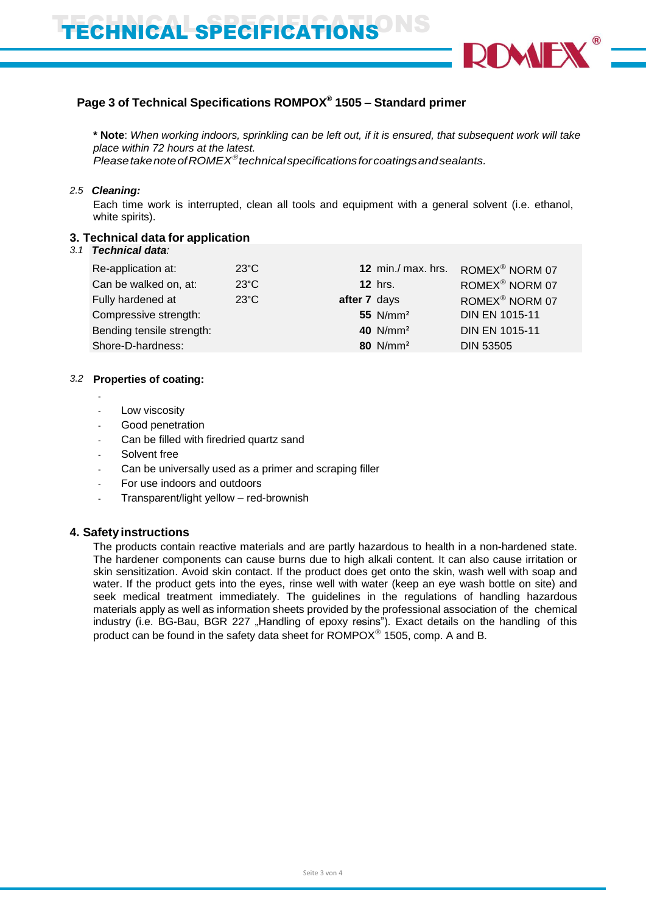

# **Page 3 of Technical Specifications ROMPOX® 1505 – Standard primer**

**\* Note**: *When working indoors, sprinkling can be left out, if it is ensured, that subsequent work will take place within 72 hours at the latest.*

*PleasetakenoteofROMEX technicalspecificationsforcoatingsandsealants.*

## *2.5 Cleaning:*

Each time work is interrupted, clean all tools and equipment with a general solvent (i.e. ethanol, white spirits).

# **3. Technical data for application**

# *3.1 Technical data:*

## *3.2* **Properties of coating:**

- Low viscosity
- Good penetration
- Can be filled with firedried quartz sand
- Solvent free
- Can be universally used as a primer and scraping filler
- For use indoors and outdoors
- Transparent/light yellow red-brownish

# **4. Safety instructions**

The products contain reactive materials and are partly hazardous to health in a non-hardened state. The hardener components can cause burns due to high alkali content. It can also cause irritation or skin sensitization. Avoid skin contact. If the product does get onto the skin, wash well with soap and water. If the product gets into the eyes, rinse well with water (keep an eye wash bottle on site) and seek medical treatment immediately. The guidelines in the regulations of handling hazardous materials apply as well as information sheets provided by the professional association of the chemical industry (i.e. BG-Bau, BGR 227 "Handling of epoxy resins"). Exact details on the handling of this product can be found in the safety data sheet for  $\mathsf{ROMPOX}^\circledast$  1505, comp. A and B.